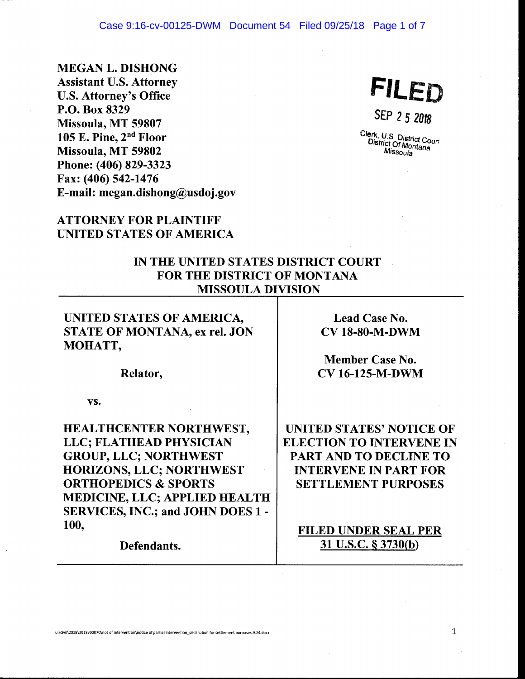#### Case 9:16-cv-00125-DWM Document 54 Filed 09/25/18 Page 1 of 7

MEGAN L. DISHONG Assistant U.S. Attorney U.S. Attorney's Office P.O. Box 8329 Missoula, MT 59807 105 E. Pine, 2nd Floor Missoula, MT 59802 Phone: (406) 829-3323 Fax: (406) 542-1476 E-mail: megan.dishong@usdoj.gov

**FILED** 

SEP 2 5 2018

Clerk, U.S. District Cour<sup>.</sup><br>District Of Montage <sup>ict</sup> Of Montana<br>Missoula Missoula

# ATTORNEY FOR PLAINTIFF UNITED STATES OF AMERICA

### IN THE UNITED STATES DISTRICT COURT FOR THE DISTRICT OF MONTANA MISSOULA DIVISION

### UNITED STATES OF AMERICA, STATE OF MONTANA, ex rel. JON MOHATT,

Lead Case No.

Relator,

vs.

HEALTHCENTER NORTHWEST, LLC; FLATHEAD PHYSICIAN GROUP, LLC; NORTHWEST HORIZONS, LLC; NORTHWEST ORTHOPEDICS & SPORTS MEDICINE, LLC; APPLIED HEALTH SERVICES, INC.; and JOHN DOES 1 - 100,

Defendants.

CV 18-80-M-DWM

Member Case No. CV 16-125-M-DWM

UNITED STATES' NOTICE OF ELECTION TO INTERVENE IN PART AND TO DECLINE TO INTERVENE IN PART FOR SETTLEMENT PURPOSES

FILED UNDER SEAL PER 31 u.s.c. § 3730(b)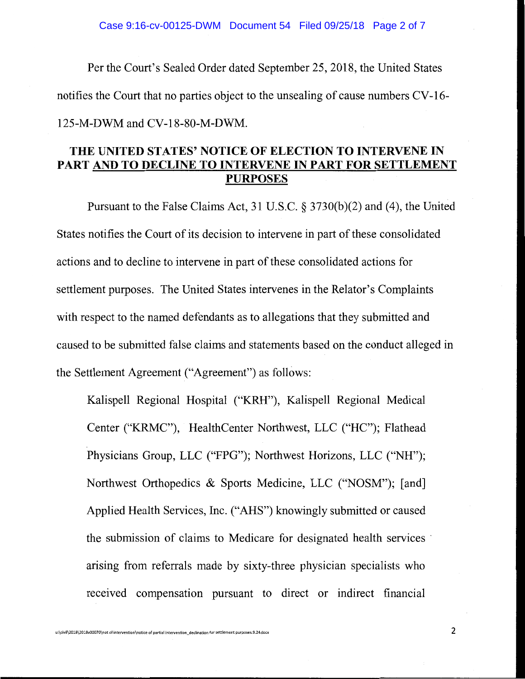Per the Court's Sealed Order dated September 25, 2018, the United States notifies the Court that no parties object to the unsealing of cause numbers CV-16- 125-M-DWM and CV-18-80-M-DWM.

## **THE UNITED STATES' NOTICE OF ELECTION TO INTERVENE IN PART AND TO DECLINE TO INTERVENE IN PART FOR SETTLEMENT PURPOSES**

Pursuant to the False Claims Act, 31 U.S.C. § 3730(b)(2) and (4), the United States notifies the Court of its decision to intervene in part of these consolidated actions and to decline to intervene in part of these consolidated actions for settlement purposes. The United States intervenes in the Relator's Complaints with respect to the named defendants as to allegations that they submitted and caused to be submitted false claims and statements based on the conduct alleged in the Settlement Agreement ("Agreement") as follows:

Kalispell Regional Hospital ("KRH"), Kalispell Regional Medical Center ("KRMC"), HealthCenter Northwest, LLC ("HC"); Flathead Physicians Group, LLC ("FPG"); Northwest Horizons, LLC ("NH"); Northwest Orthopedics & Sports Medicine, LLC ("NOSM"); [and] Applied Health Services, Inc. ("AHS") knowingly submitted or caused the submission of claims to Medicare for designated health services · arising from referrals made by sixty-three physician specialists who received compensation pursuant to direct or indirect financial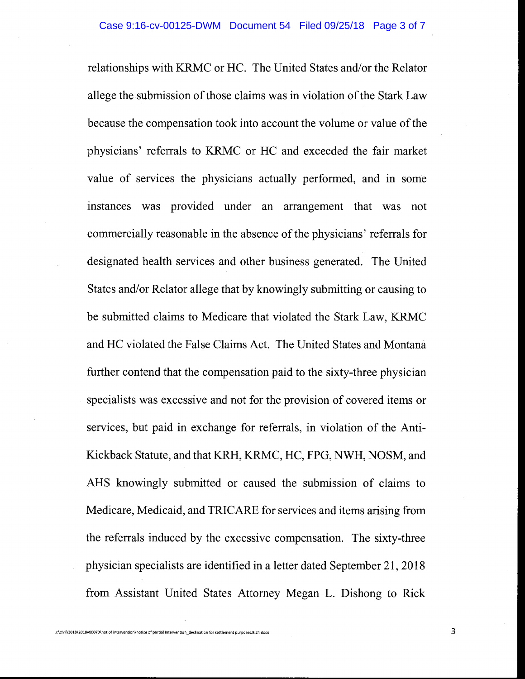relationships with KRMC or HC. The United States and/or the Relator allege the submission of those claims was in violation of the Stark Law because the compensation took into account the volume or value of the physicians' referrals to KRMC or HC and exceeded the fair market value of services the physicians actually performed, and in some instances was provided under an arrangement that was not commercially reasonable in the absence of the physicians' referrals for designated health services and other business generated. The United States and/or Relator allege that by knowingly submitting or causing to be submitted claims to Medicare that violated the Stark Law, KRMC and HC violated the False Claims Act. The United States and Montana further contend that the compensation paid to the sixty-three physician specialists was excessive and not for the provision of covered items or services, but paid in exchange for referrals, in violation of the Anti-Kickback Statute, and that KRH, KRMC, HC, FPG, NWH, NOSM, and AHS knowingly submitted or caused the submission of claims to Medicare, Medicaid, and TRICARE for services and items arising from the referrals induced by the excessive compensation. The sixty-three physician specialists are identified in a letter dated September 21, 2018 from Assistant United States Attorney Megan L. Dishong to Rick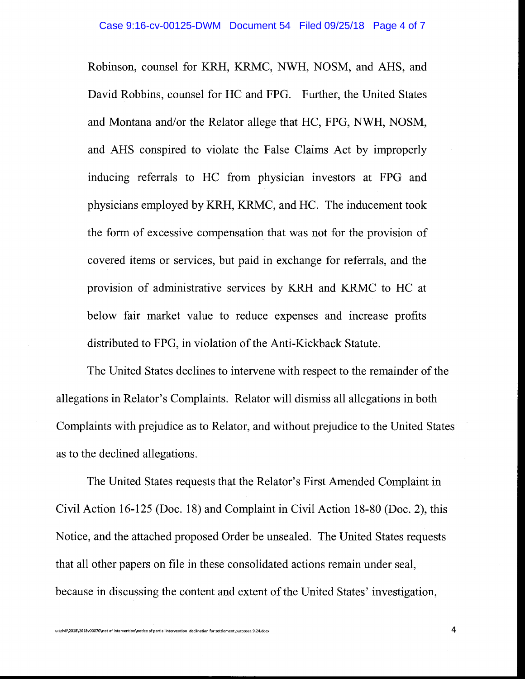Robinson, counsel for KRH, KRMC, NWH, NOSM, and AHS, and David Robbins, counsel for HC and FPG. Further, the United States and Montana and/or the Relator allege that HC, FPG, NWH, NOSM, and AHS conspired to violate the False Claims Act by improperly inducing referrals to HC from physician investors at FPG and physicians employed by KRH, KRMC, and HC. The inducement took the form of excessive compensation that was not for the provision of covered items or services, but paid in exchange for referrals, and the provision of administrative services by KRH and KRMC to HC at below fair market value to reduce expenses and increase profits distributed to FPG, in violation of the Anti-Kickback Statute.

The United States declines to intervene with respect to the remainder of the allegations in Relator's Complaints. Relator will dismiss all allegations in both Complaints with prejudice as to Relator, and without prejudice to the United States as to the declined allegations.

The United States requests that the Relator's First Amended Complaint in Civil Action 16-125 (Doc. 18) and Complaint in Civil Action 18-80 (Doc. 2), this Notice, and the attached proposed Order be unsealed. The United States requests that all other papers on file in these consolidated actions remain under seal, because in discussing the content and extent of the United States' investigation,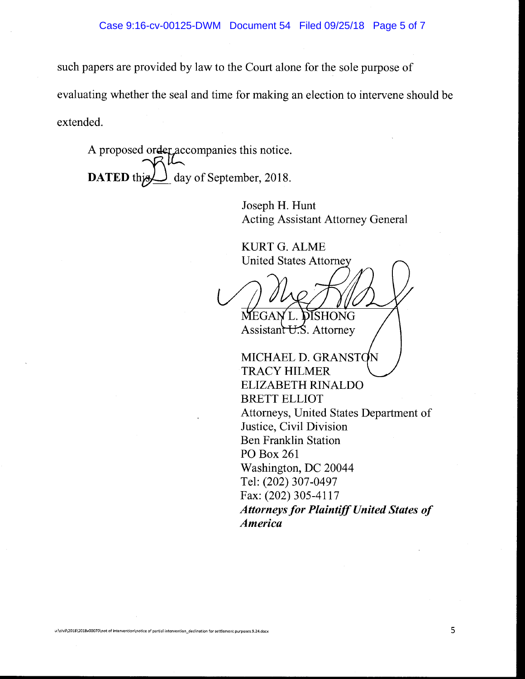such papers are provided by law to the Court alone for the sole purpose of evaluating whether the seal and time for making an election to intervene should be extended.

A proposed order accompanies this notice. DATED this day of September, 2018.

> Joseph H. Hunt Acting Assistant Attorney General

KURTG.ALME **United States Attorney** 

DISHONG

Assistant U.S. Attorney

MICHAEL D. GRANST TRACY HILMER ELIZABETH RINALDO BRETT ELLIOT Attorneys, United States Department of Justice, Civil Division Ben Franklin Station PO Box 261 Washington, DC 20044 Tel: (202) 307-0497 Fax: (202) 305-4117 *Attorneys for Plaintiff United States of America*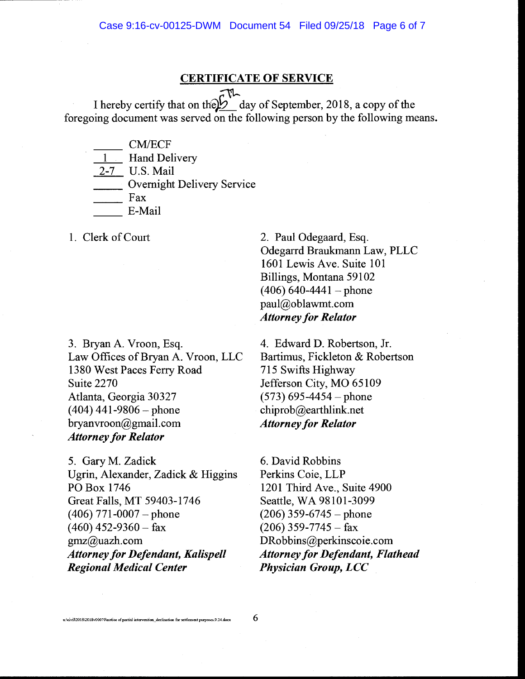#### CERTIFICATE OF SERVICE

 $\frac{1}{2}$ I hereby certify that on the  $\cancel{2}$  day of September, 2018, a copy of the foregoing document was served on the following person by the following means.

CM/ECF

**Hand Delivery** 

2-7 U.S. Mail

2-7 U.S. Mail<br>
Overnight Delivery Service<br>
Fax<br>
F-Mail

| Fax<br>| E-Mail

1. Clerk of Court

3. Bryan A. Vroon, Esq. Law Offices of Bryan A. Vroon, LLC 1380 West Paces Ferry Road Suite 2270 Atlanta, Georgia 30327  $(404)$  441-9806 - phone bryanvroon@gmail.com *Attorney for Relator* 

5. GaryM. Zadick Ugrin, Alexander, Zadick & Higgins PO Box 1746 Great Falls, MT 59403-1746  $(406)$  771-0007 - phone  $(460)$  452-9360 - fax gmz@uazh.com *Attorney for Defendant, Kalispell Regional Medical Center* 

2. Paul Odegaard, Esq. Odegarrd Braukmann Law, PLLC 1601 Lewis Ave. Suite 101 Billings, Montana 59102  $(406)$  640-4441 – phone paul@oblawmt.com *Attorney for Relator* 

4. Edward D. Robertson, Jr. Bartimus, Fickleton & Robertson 715 Swifts Highway Jefferson City, MO 65109  $(573)$  695-4454 – phone chiprob@earthlink.net *Attorney for Relator* 

6. David Robbins Perkins Coie, LLP 1201 Third Ave., Suite 4900 Seattle, WA 98101-3099  $(206)$  359-6745 – phone  $(206)$  359-7745 - fax DRobbins@perkinscoie.com *Attorney for Defendant, Flathead Physician Group, LCC* 

u:\civil\2018\2018v00070\notice of partial intervention\_declination for settlement purposes.9.24.docx  $\,\,\rm{6}$